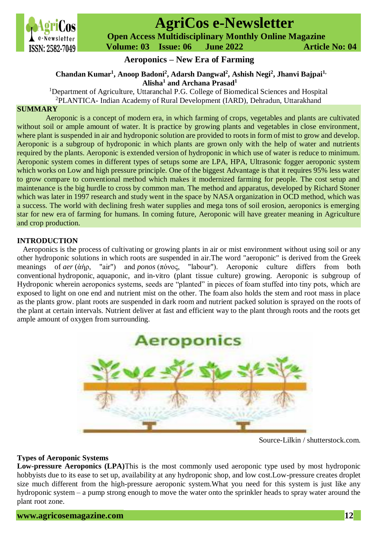

# **AgriCos e-Newsletter**

 **Open Access Multidisciplinary Monthly Online Magazine**

 **Volume: 03 Issue: 06 June 2022 Article No: 04**

## **Aeroponics – New Era of Farming**

## **Chandan Kumar<sup>1</sup> , Anoop Badoni<sup>2</sup> , Adarsh Dangwal<sup>2</sup> , Ashish Negi<sup>2</sup> , Jhanvi Bajpai1, Alisha<sup>1</sup> and Archana Prasad<sup>1</sup>**

<sup>1</sup>Department of Agriculture, Uttaranchal P.G. College of Biomedical Sciences and Hospital <sup>2</sup>PLANTICA- Indian Academy of Rural Development (IARD), Dehradun, Uttarakhand

#### **SUMMARY**

Aeroponic is a concept of modern era, in which farming of crops, vegetables and plants are cultivated without soil or ample amount of water. It is practice by growing plants and vegetables in close environment, where plant is suspended in air and hydroponic solution are provided to roots in form of mist to grow and develop. Aeroponic is a subgroup of hydroponic in which plants are grown only with the help of water and nutrients required by the plants. Aeroponic is extended version of hydroponic in which use of water is reduce to minimum. Aeroponic system comes in different types of setups some are LPA, HPA, Ultrasonic fogger aeroponic system which works on Low and high pressure principle. One of the biggest Advantage is that it requires 95% less water to grow compare to conventional method which makes it modernized farming for people. The cost setup and maintenance is the big hurdle to cross by common man. The method and apparatus, developed by Richard Stoner which was later in 1997 research and study went in the space by NASA organization in OCD method, which was a success. The world with declining fresh water supplies and mega tons of soil erosion, aeroponics is emerging star for new era of farming for humans. In coming future, Aeroponic will have greater meaning in Agriculture and crop production.

#### **INTRODUCTION**

Aeroponics is the process of cultivating or growing plants in air or mist environment without using soil or any other hydroponic solutions in which roots are suspended in air.The word "aeroponic" is derived from the Greek meanings of *aer* (ἀήρ, "air") and *ponos* (πόνος, "labour"). Aeroponic culture differs from both conventional hydroponic, aquaponic, and in-vitro (plant tissue culture) growing. Aeroponic is subgroup of Hydroponic wherein aeroponics systems, seeds are "planted" in pieces of foam stuffed into tiny pots, which are exposed to light on one end and nutrient mist on the other. The foam also holds the stem and root mass in place as the plants grow. plant roots are suspended in dark room and nutrient packed solution is sprayed on the roots of the plant at certain intervals. Nutrient deliver at fast and efficient way to the plant through roots and the roots get ample amount of oxygen from surrounding.



Source-Lilkin / shutterstock.com.

#### **Types of Aeroponic Systems**

**Low-pressure Aeroponics (LPA)**This is the most commonly used aeroponic type used by most hydroponic hobbyists due to its ease to set up, availability at any hydroponic shop, and low cost.Low-pressure creates droplet size much different from the high-pressure aeroponic system.What you need for this system is just like any hydroponic system – a pump strong enough to move the water onto the sprinkler heads to spray water around the plant root zone.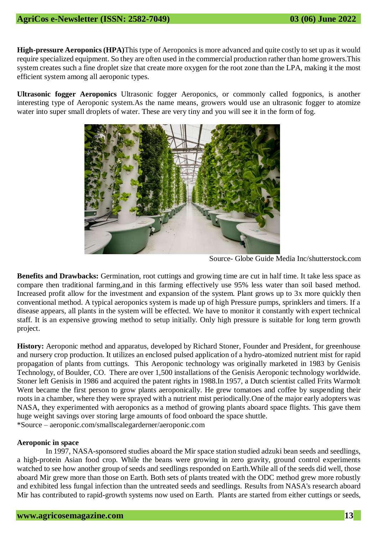**High-pressure Aeroponics (HPA)**This type of Aeroponics is more advanced and quite costly to set up as it would require specialized equipment. So they are often used in the commercial production rather than home growers.This system creates such a fine droplet size that create more oxygen for the root zone than the LPA, making it the most efficient system among all aeroponic types.

**Ultrasonic fogger Aeroponics** Ultrasonic fogger Aeroponics, or commonly called fogponics, is another interesting type of Aeroponic system.As the name means, growers would use an ultrasonic fogger to atomize water into super small droplets of water. These are very tiny and you will see it in the form of fog.



Source- Globe Guide Media Inc/shutterstock.com

**Benefits and Drawbacks:** Germination, root cuttings and growing time are cut in half time. It take less space as compare then traditional farming,and in this farming effectively use 95% less water than soil based method. Increased profit allow for the investment and expansion of the system. Plant grows up to 3x more quickly then conventional method. A typical aeroponics system is made up of high Pressure pumps, sprinklers and timers. If a disease appears, all plants in the system will be effected. We have to monitor it constantly with expert technical staff. It is an expensive growing method to setup initially. Only high pressure is suitable for long term growth project.

**History:** Aeroponic method and apparatus, developed by Richard Stoner, Founder and President, for greenhouse and nursery crop production. It utilizes an enclosed pulsed application of a hydro-atomized nutrient mist for rapid propagation of plants from cuttings. This Aeroponic technology was originally marketed in 1983 by Genisis Technology, of Boulder, CO. There are over 1,500 installations of the Genisis Aeroponic technology worldwide. Stoner left Genisis in 1986 and acquired the patent rights in 1988.In 1957, a Dutch scientist called Frits Warmolt Went became the first person to grow plants aeroponically. He grew tomatoes and coffee by suspending their roots in a chamber, where they were sprayed with a nutrient mist periodically.One of the major early adopters was NASA, they experimented with aeroponics as a method of growing plants aboard space flights. This gave them huge weight savings over storing large amounts of food onboard the space shuttle. \*Source – aeroponic.com/smallscalegarderner/aeroponic.com

#### **Aeroponic in space**

In 1997, NASA-sponsored studies aboard the Mir space station studied adzuki bean seeds and seedlings, a high-protein Asian food crop. While the beans were growing in zero gravity, ground control experiments watched to see how another group of seeds and seedlings responded on Earth.While all of the seeds did well, those aboard Mir grew more than those on Earth. Both sets of plants treated with the ODC method grew more robustly and exhibited less fungal infection than the untreated seeds and seedlings. Results from NASA's research aboard Mir has contributed to rapid-growth systems now used on Earth. Plants are started from either cuttings or seeds,